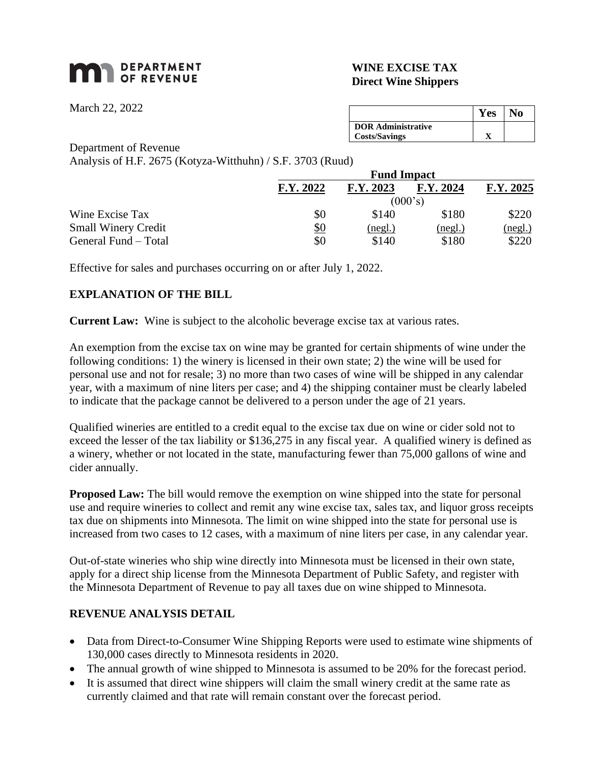# **DEPARTMENT**

#### **WINE EXCISE TAX Direct Wine Shippers**

March 22, 2022

**Yes No DOR Administrative Costs/Savings X**

Department of Revenue

Analysis of H.F. 2675 (Kotyza-Witthuhn) / S.F. 3703 (Ruud)

|                            | <b>Fund Impact</b> |           |           |           |
|----------------------------|--------------------|-----------|-----------|-----------|
|                            | F.Y. 2022          | F.Y. 2023 | F.Y. 2024 | F.Y. 2025 |
|                            | (000's)            |           |           |           |
| Wine Excise Tax            | \$0                | \$140     | \$180     | \$220     |
| <b>Small Winery Credit</b> | <u>\$0</u>         | (neg.)    | (neg.)    | (neg.)    |
| General Fund – Total       | \$0                | \$140     | \$180     | \$220     |

Effective for sales and purchases occurring on or after July 1, 2022.

## **EXPLANATION OF THE BILL**

**Current Law:** Wine is subject to the alcoholic beverage excise tax at various rates.

An exemption from the excise tax on wine may be granted for certain shipments of wine under the following conditions: 1) the winery is licensed in their own state; 2) the wine will be used for personal use and not for resale; 3) no more than two cases of wine will be shipped in any calendar year, with a maximum of nine liters per case; and 4) the shipping container must be clearly labeled to indicate that the package cannot be delivered to a person under the age of 21 years.

Qualified wineries are entitled to a credit equal to the excise tax due on wine or cider sold not to exceed the lesser of the tax liability or \$136,275 in any fiscal year. A qualified winery is defined as a winery, whether or not located in the state, manufacturing fewer than 75,000 gallons of wine and cider annually.

**Proposed Law:** The bill would remove the exemption on wine shipped into the state for personal use and require wineries to collect and remit any wine excise tax, sales tax, and liquor gross receipts tax due on shipments into Minnesota. The limit on wine shipped into the state for personal use is increased from two cases to 12 cases, with a maximum of nine liters per case, in any calendar year.

Out-of-state wineries who ship wine directly into Minnesota must be licensed in their own state, apply for a direct ship license from the Minnesota Department of Public Safety, and register with the Minnesota Department of Revenue to pay all taxes due on wine shipped to Minnesota.

### **REVENUE ANALYSIS DETAIL**

- Data from Direct-to-Consumer Wine Shipping Reports were used to estimate wine shipments of 130,000 cases directly to Minnesota residents in 2020.
- The annual growth of wine shipped to Minnesota is assumed to be 20% for the forecast period.
- It is assumed that direct wine shippers will claim the small winery credit at the same rate as currently claimed and that rate will remain constant over the forecast period.